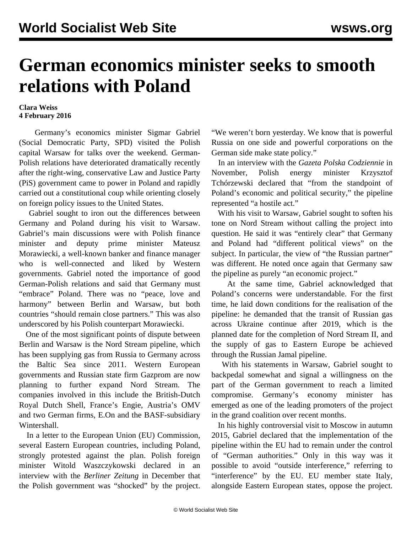## **German economics minister seeks to smooth relations with Poland**

## **Clara Weiss 4 February 2016**

 Germany's economics minister Sigmar Gabriel (Social Democratic Party, SPD) visited the Polish capital Warsaw for talks over the weekend. German-Polish relations have deteriorated dramatically recently after the right-wing, conservative Law and Justice Party (PiS) government came to power in Poland and rapidly carried out a constitutional coup while orienting closely on foreign policy issues to the United States.

 Gabriel sought to iron out the differences between Germany and Poland during his visit to Warsaw. Gabriel's main discussions were with Polish finance minister and deputy prime minister Mateusz Morawiecki, a well-known banker and finance manager who is well-connected and liked by Western governments. Gabriel noted the importance of good German-Polish relations and said that Germany must "embrace" Poland. There was no "peace, love and harmony" between Berlin and Warsaw, but both countries "should remain close partners." This was also underscored by his Polish counterpart Morawiecki.

 One of the most significant points of dispute between Berlin and Warsaw is the Nord Stream pipeline, which has been supplying gas from Russia to Germany across the Baltic Sea since 2011. Western European governments and Russian state firm Gazprom are now planning to further expand Nord Stream. The companies involved in this include the British-Dutch Royal Dutch Shell, France's Engie, Austria's OMV and two German firms, E.On and the BASF-subsidiary Wintershall.

 In a letter to the European Union (EU) Commission, several Eastern European countries, including Poland, strongly protested against the plan. Polish foreign minister Witold Waszczykowski declared in an interview with the *Berliner Zeitung* in December that the Polish government was "shocked" by the project.

"We weren't born yesterday. We know that is powerful Russia on one side and powerful corporations on the German side make state policy."

 In an interview with the *Gazeta Polska Codziennie* in November, Polish energy minister Krzysztof Tchórzewski declared that "from the standpoint of Poland's economic and political security," the pipeline represented "a hostile act."

 With his visit to Warsaw, Gabriel sought to soften his tone on Nord Stream without calling the project into question. He said it was "entirely clear" that Germany and Poland had "different political views" on the subject. In particular, the view of "the Russian partner" was different. He noted once again that Germany saw the pipeline as purely "an economic project."

 At the same time, Gabriel acknowledged that Poland's concerns were understandable. For the first time, he laid down conditions for the realisation of the pipeline: he demanded that the transit of Russian gas across Ukraine continue after 2019, which is the planned date for the completion of Nord Stream II, and the supply of gas to Eastern Europe be achieved through the Russian Jamal pipeline.

 With his statements in Warsaw, Gabriel sought to backpedal somewhat and signal a willingness on the part of the German government to reach a limited compromise. Germany's economy minister has emerged as one of the leading promoters of the project in the grand coalition over recent months.

 In his highly controversial visit to Moscow in autumn 2015, Gabriel declared that the implementation of the pipeline within the EU had to remain under the control of "German authorities." Only in this way was it possible to avoid "outside interference," referring to "interference" by the EU. EU member state Italy, alongside Eastern European states, oppose the project.